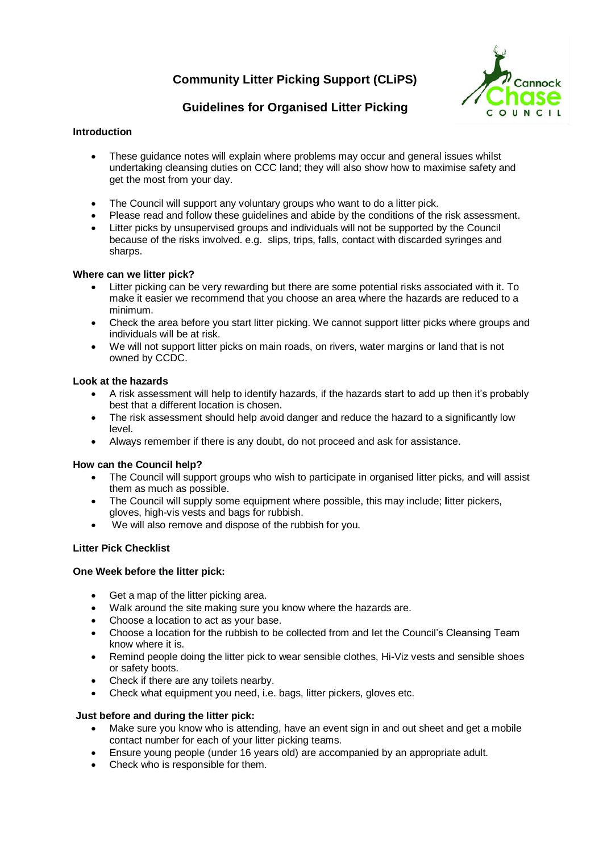# **Community Litter Picking Support (CLiPS)**



# **Guidelines for Organised Litter Picking**

### **Introduction**

- These guidance notes will explain where problems may occur and general issues whilst undertaking cleansing duties on CCC land; they will also show how to maximise safety and get the most from your day.
- The Council will support any voluntary groups who want to do a litter pick.
- Please read and follow these guidelines and abide by the conditions of the risk assessment.
- Litter picks by unsupervised groups and individuals will not be supported by the Council because of the risks involved. e.g. slips, trips, falls, contact with discarded syringes and sharps.

#### **Where can we litter pick?**

- Litter picking can be very rewarding but there are some potential risks associated with it. To make it easier we recommend that you choose an area where the hazards are reduced to a minimum.
- Check the area before you start litter picking. We cannot support litter picks where groups and individuals will be at risk.
- We will not support litter picks on main roads, on rivers, water margins or land that is not owned by CCDC.

#### **Look at the hazards**

- A risk assessment will help to identify hazards, if the hazards start to add up then it's probably best that a different location is chosen.
- The risk assessment should help avoid danger and reduce the hazard to a significantly low level.
- Always remember if there is any doubt, do not proceed and ask for assistance.

#### **How can the Council help?**

- The Council will support groups who wish to participate in organised litter picks, and will assist them as much as possible.
- The Council will supply some equipment where possible, this may include; **l**itter pickers, gloves, high-vis vests and bags for rubbish.
- We will also remove and dispose of the rubbish for you.

#### **Litter Pick Checklist**

#### **One Week before the litter pick:**

- Get a map of the litter picking area.
- Walk around the site making sure you know where the hazards are.
- Choose a location to act as your base.
- Choose a location for the rubbish to be collected from and let the Council's Cleansing Team know where it is.
- Remind people doing the litter pick to wear sensible clothes, Hi-Viz vests and sensible shoes or safety boots.
- Check if there are any toilets nearby.
- Check what equipment you need, i.e. bags, litter pickers, gloves etc.

#### **Just before and during the litter pick:**

- Make sure you know who is attending, have an event sign in and out sheet and get a mobile contact number for each of your litter picking teams.
- Ensure young people (under 16 years old) are accompanied by an appropriate adult.
- Check who is responsible for them.